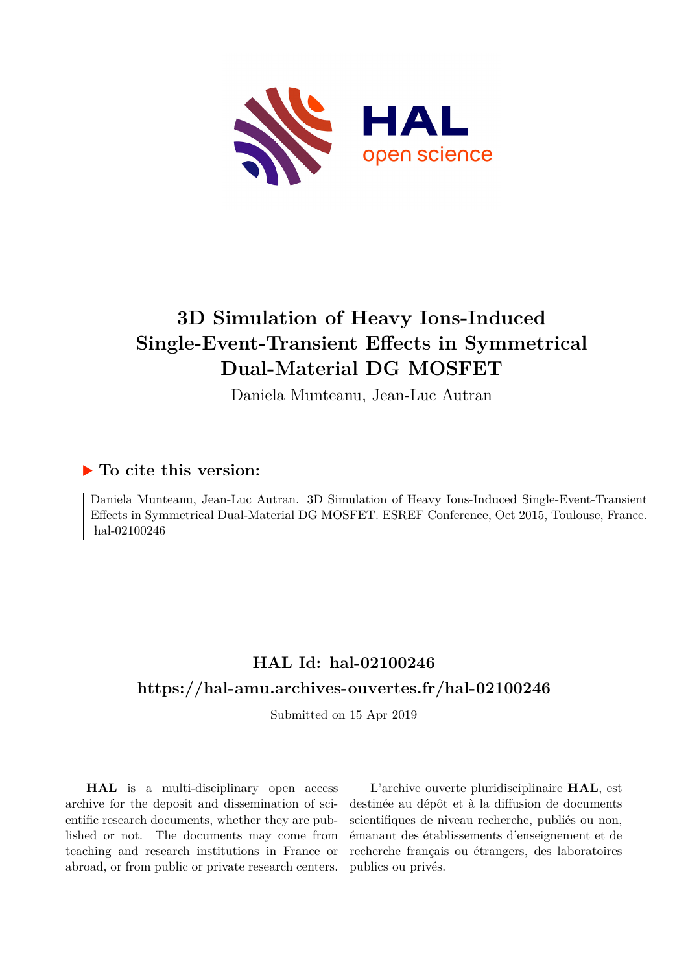

# **3D Simulation of Heavy Ions-Induced Single-Event-Transient Effects in Symmetrical Dual-Material DG MOSFET**

Daniela Munteanu, Jean-Luc Autran

### **To cite this version:**

Daniela Munteanu, Jean-Luc Autran. 3D Simulation of Heavy Ions-Induced Single-Event-Transient Effects in Symmetrical Dual-Material DG MOSFET. ESREF Conference, Oct 2015, Toulouse, France. hal-02100246

## **HAL Id: hal-02100246 <https://hal-amu.archives-ouvertes.fr/hal-02100246>**

Submitted on 15 Apr 2019

**HAL** is a multi-disciplinary open access archive for the deposit and dissemination of scientific research documents, whether they are published or not. The documents may come from teaching and research institutions in France or abroad, or from public or private research centers.

L'archive ouverte pluridisciplinaire **HAL**, est destinée au dépôt et à la diffusion de documents scientifiques de niveau recherche, publiés ou non, émanant des établissements d'enseignement et de recherche français ou étrangers, des laboratoires publics ou privés.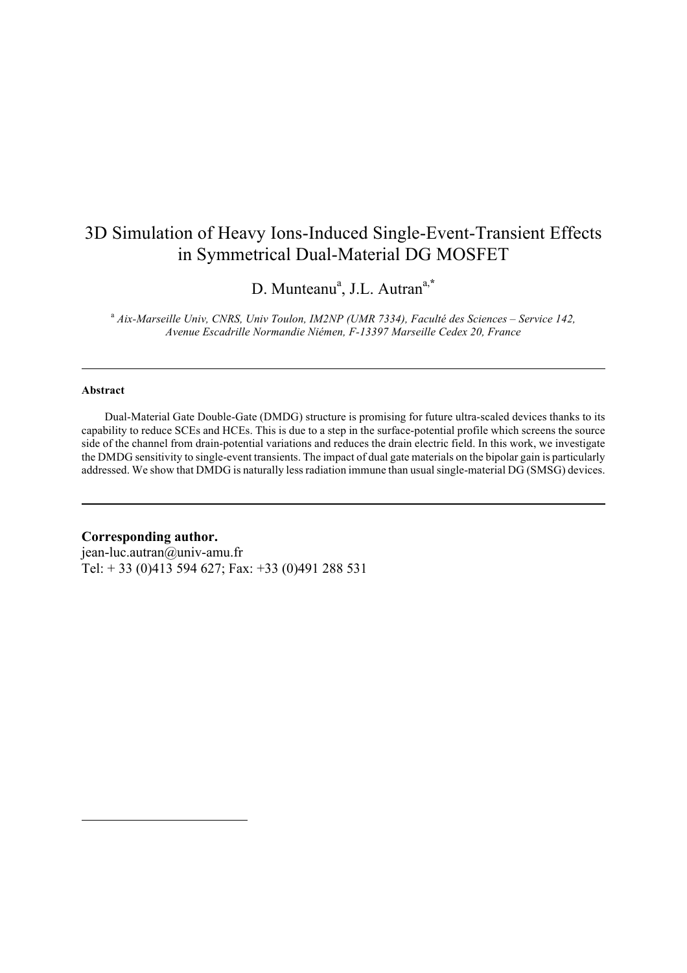### 3D Simulation of Heavy Ions-Induced Single-Event-Transient Effects in Symmetrical Dual-Material DG MOSFET

D. Munteanu<sup>a</sup>, J.L. Autran<sup>a,\*</sup>

<sup>a</sup> *Aix-Marseille Univ, CNRS, Univ Toulon, IM2NP (UMR 7334), Faculté des Sciences – Service 142, Avenue Escadrille Normandie Niémen, F-13397 Marseille Cedex 20, France*

#### **Abstract**

 $\overline{a}$ 

 Dual-Material Gate Double-Gate (DMDG) structure is promising for future ultra-scaled devices thanks to its capability to reduce SCEs and HCEs. This is due to a step in the surface-potential profile which screens the source side of the channel from drain-potential variations and reduces the drain electric field. In this work, we investigate the DMDG sensitivity to single-event transients. The impact of dual gate materials on the bipolar gain is particularly addressed. We show that DMDG is naturally lessradiation immune than usualsingle-material DG (SMSG) devices.

#### **Corresponding author.**

jean-luc.autran@univ-amu.fr Tel: + 33 (0)413 594 627; Fax: +33 (0)491 288 531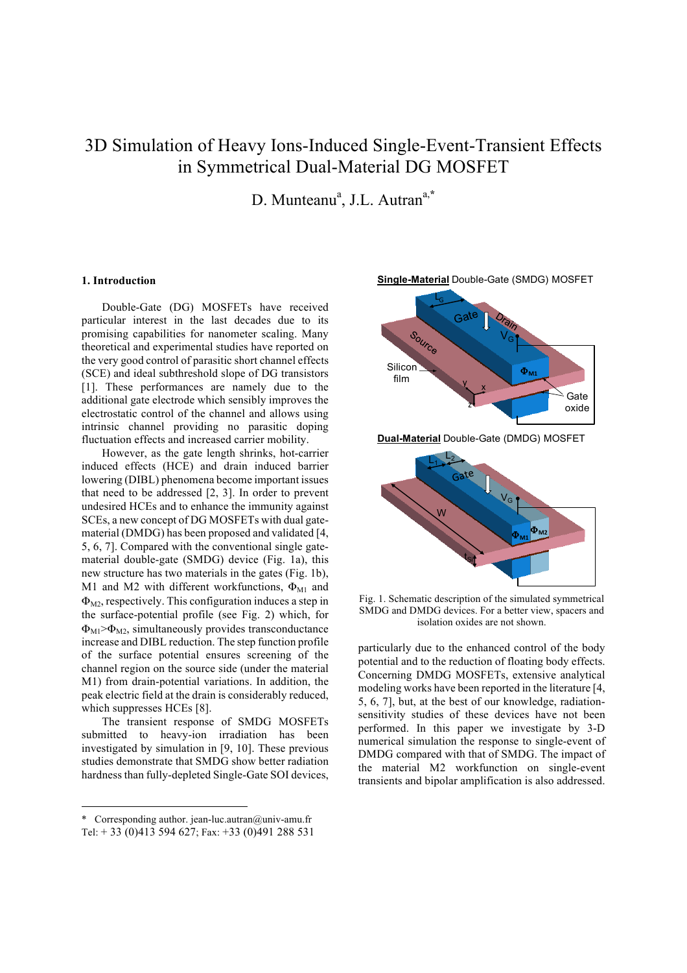### 3D Simulation of Heavy Ions-Induced Single-Event-Transient Effects in Symmetrical Dual-Material DG MOSFET

D. Munteanu<sup>a</sup>, J.L. Autran<sup>a,\*</sup>

#### **1. Introduction**

Double-Gate (DG) MOSFETs have received particular interest in the last decades due to its promising capabilities for nanometer scaling. Many theoretical and experimental studies have reported on the very good control of parasitic short channel effects (SCE) and ideal subthreshold slope of DG transistors [1]. These performances are namely due to the additional gate electrode which sensibly improves the electrostatic control of the channel and allows using intrinsic channel providing no parasitic doping fluctuation effects and increased carrier mobility.

However, as the gate length shrinks, hot-carrier induced effects (HCE) and drain induced barrier lowering (DIBL) phenomena become important issues that need to be addressed [2, 3]. In order to prevent undesired HCEs and to enhance the immunity against SCEs, a new concept of DG MOSFETs with dual gatematerial (DMDG) has been proposed and validated [4, 5, 6, 7]. Compared with the conventional single gatematerial double-gate (SMDG) device (Fig. 1a), this new structure has two materials in the gates (Fig. 1b), M1 and M2 with different workfunctions,  $\Phi_{\text{M1}}$  and  $\Phi_{\text{M2}}$ , respectively. This configuration induces a step in the surface-potential profile (see Fig. 2) which, for  $\Phi_{\text{M1}} > \Phi_{\text{M2}}$ , simultaneously provides transconductance increase and DIBL reduction. The step function profile of the surface potential ensures screening of the channel region on the source side (under the material M1) from drain-potential variations. In addition, the peak electric field at the drain is considerably reduced, which suppresses HCEs [8].

The transient response of SMDG MOSFETs submitted to heavy-ion irradiation has been investigated by simulation in [9, 10]. These previous studies demonstrate that SMDG show better radiation hardness than fully-depleted Single-Gate SOI devices,





**Dual-Material** Double-Gate (DMDG) MOSFET



Fig. 1. Schematic description of the simulated symmetrical SMDG and DMDG devices. For a better view, spacers and isolation oxides are not shown.

particularly due to the enhanced control of the body potential and to the reduction of floating body effects. Concerning DMDG MOSFETs, extensive analytical modeling works have been reported in the literature [4, 5, 6, 7], but, at the best of our knowledge, radiationsensitivity studies of these devices have not been performed. In this paper we investigate by 3-D numerical simulation the response to single-event of DMDG compared with that of SMDG. The impact of the material M2 workfunction on single-event transients and bipolar amplification is also addressed.

 <sup>\*</sup> Corresponding author. jean-luc.autran@univ-amu.fr

Tel:  $+ 33 (0)413 594 627$ ; Fax:  $+ 33 (0)491 288 531$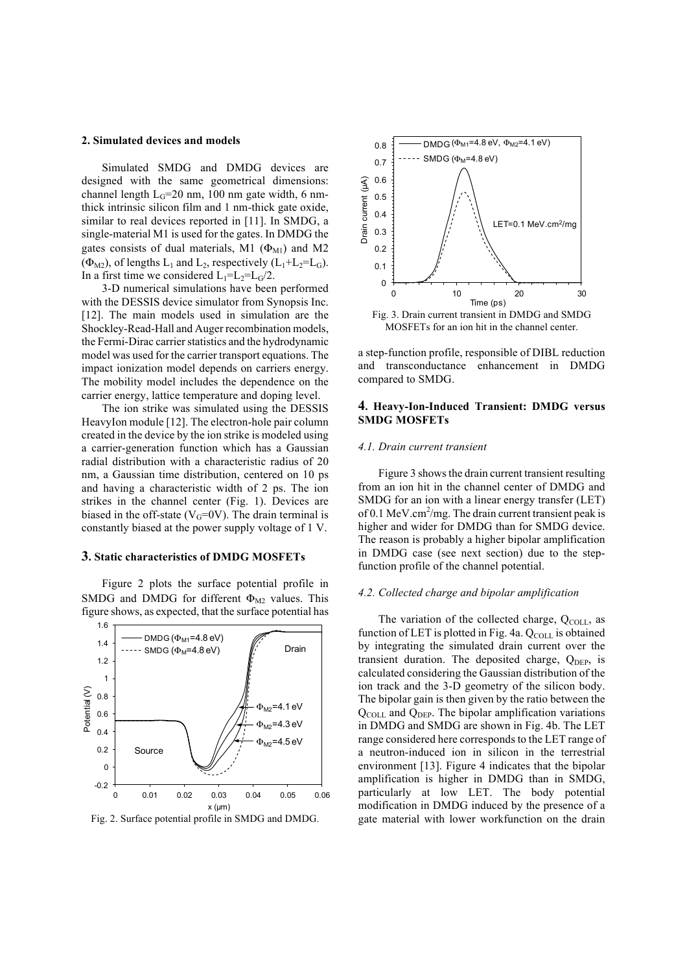#### **2. Simulated devices and models**

Simulated SMDG and DMDG devices are designed with the same geometrical dimensions: channel length  $L<sub>G</sub>=20$  nm, 100 nm gate width, 6 nmthick intrinsic silicon film and 1 nm-thick gate oxide, similar to real devices reported in [11]. In SMDG, a single-material M1 is used for the gates. In DMDG the gates consists of dual materials, M1  $(\Phi_{\text{M1}})$  and M2  $(\Phi_{M2})$ , of lengths  $L_1$  and  $L_2$ , respectively  $(L_1 + L_2 = L_G)$ . In a first time we considered  $L_1=L_2=L_0/2$ .

3-D numerical simulations have been performed with the DESSIS device simulator from Synopsis Inc. [12]. The main models used in simulation are the Shockley-Read-Hall and Auger recombination models, the Fermi-Dirac carrier statistics and the hydrodynamic model was used for the carrier transport equations. The impact ionization model depends on carriers energy. The mobility model includes the dependence on the carrier energy, lattice temperature and doping level.

The ion strike was simulated using the DESSIS HeavyIon module [12]. The electron-hole pair column created in the device by the ion strike is modeled using a carrier-generation function which has a Gaussian radial distribution with a characteristic radius of 20 nm, a Gaussian time distribution, centered on 10 ps and having a characteristic width of 2 ps. The ion strikes in the channel center (Fig. 1). Devices are biased in the off-state ( $V<sub>G</sub>=0V$ ). The drain terminal is constantly biased at the power supply voltage of 1 V.

#### **3. Static characteristics of DMDG MOSFETs**

Figure 2 plots the surface potential profile in SMDG and DMDG for different  $\Phi_{M2}$  values. This figure shows, as expected, that the surface potential has



Fig. 2. Surface potential profile in SMDG and DMDG.



MOSFETs for an ion hit in the channel center.

a step-function profile, responsible of DIBL reduction and transconductance enhancement in DMDG compared to SMDG.

#### **4. Heavy-Ion-Induced Transient: DMDG versus SMDG MOSFETs**

#### *4.1. Drain current transient*

Figure 3 shows the drain current transient resulting from an ion hit in the channel center of DMDG and SMDG for an ion with a linear energy transfer (LET) of 0.1 MeV.cm<sup>2</sup>/mg. The drain current transient peak is higher and wider for DMDG than for SMDG device. The reason is probably a higher bipolar amplification in DMDG case (see next section) due to the stepfunction profile of the channel potential.

#### *4.2. Collected charge and bipolar amplification*

The variation of the collected charge, Q<sub>COLL</sub>, as function of LET is plotted in Fig. 4a. QCOLL is obtained by integrating the simulated drain current over the transient duration. The deposited charge,  $Q<sub>DEP</sub>$ , is calculated considering the Gaussian distribution of the ion track and the 3-D geometry of the silicon body. The bipolar gain is then given by the ratio between the  $Q_{COLL}$  and  $Q_{DEF}$ . The bipolar amplification variations in DMDG and SMDG are shown in Fig. 4b. The LET range considered here corresponds to the LET range of a neutron-induced ion in silicon in the terrestrial environment [13]. Figure 4 indicates that the bipolar amplification is higher in DMDG than in SMDG, particularly at low LET. The body potential modification in DMDG induced by the presence of a gate material with lower workfunction on the drain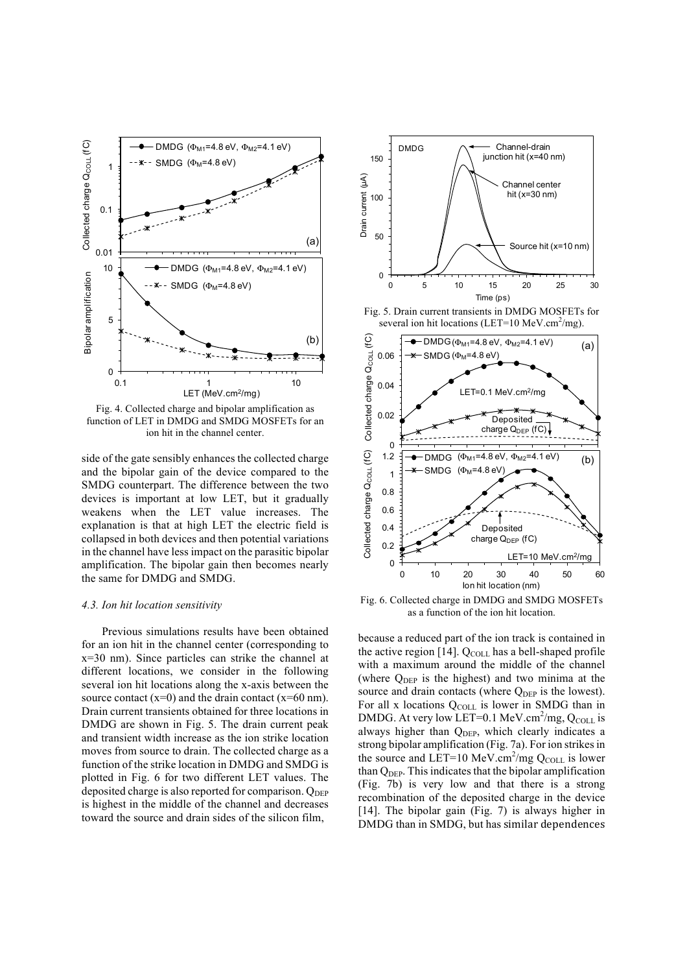

Fig. 4. Collected charge and bipolar amplification as function of LET in DMDG and SMDG MOSFETs for an ion hit in the channel center.

side of the gate sensibly enhances the collected charge and the bipolar gain of the device compared to the SMDG counterpart. The difference between the two devices is important at low LET, but it gradually weakens when the LET value increases. The explanation is that at high LET the electric field is collapsed in both devices and then potential variations in the channel have less impact on the parasitic bipolar amplification. The bipolar gain then becomes nearly the same for DMDG and SMDG.

#### *4.3. Ion hit location sensitivity*

Previous simulations results have been obtained for an ion hit in the channel center (corresponding to x=30 nm). Since particles can strike the channel at different locations, we consider in the following several ion hit locations along the x-axis between the source contact  $(x=0)$  and the drain contact  $(x=60 \text{ nm})$ . Drain current transients obtained for three locations in DMDG are shown in Fig. 5. The drain current peak and transient width increase as the ion strike location moves from source to drain. The collected charge as a function of the strike location in DMDG and SMDG is plotted in Fig. 6 for two different LET values. The deposited charge is also reported for comparison.  $O_{\text{DEP}}$ is highest in the middle of the channel and decreases toward the source and drain sides of the silicon film,



Fig. 5. Drain current transients in DMDG MOSFETs for several ion hit locations (LET=10 MeV.cm<sup>2</sup>/mg).



Fig. 6. Collected charge in DMDG and SMDG MOSFETs as a function of the ion hit location.

because a reduced part of the ion track is contained in the active region [14].  $Q_{COLL}$  has a bell-shaped profile with a maximum around the middle of the channel (where  $Q_{\text{DEP}}$  is the highest) and two minima at the source and drain contacts (where Q<sub>DEP</sub> is the lowest). For all x locations Q<sub>COLL</sub> is lower in SMDG than in DMDG. At very low LET=0.1 MeV.cm<sup>2</sup>/mg,  $Q_{COLL}$  is always higher than Q<sub>DEP</sub>, which clearly indicates a strong bipolar amplification (Fig. 7a). For ion strikes in the source and LET=10 MeV.cm<sup>2</sup>/mg  $Q_{COLL}$  is lower than  $Q<sub>DEP</sub>$ . This indicates that the bipolar amplification (Fig. 7b) is very low and that there is a strong recombination of the deposited charge in the device [14]. The bipolar gain (Fig. 7) is always higher in DMDG than in SMDG, but has similar dependences